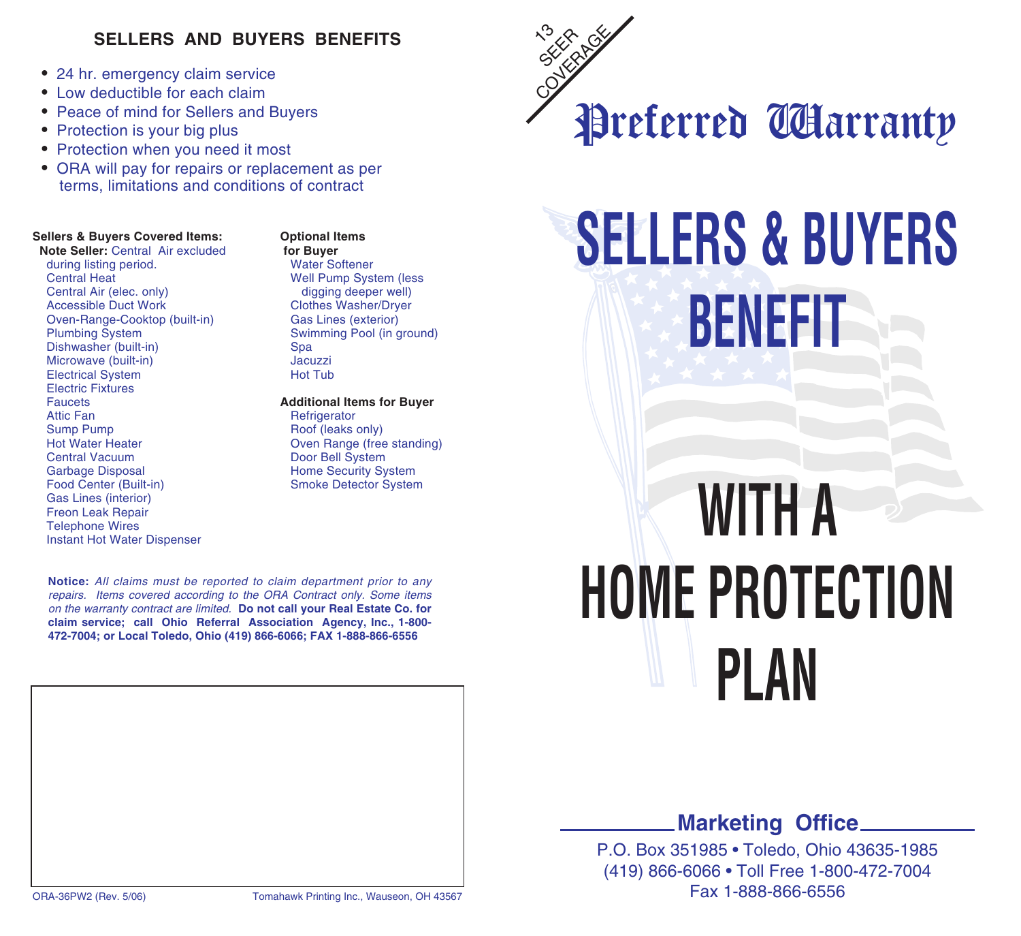### **SELLERS AND BUYERS BENEFITS**

- 24 hr. emergency claim service
- Low deductible for each claim
- Peace of mind for Sellers and Buyers
- Protection is your big plus
- Protection when you need it most
- ORA will pay for repairs or replacement as per terms, limitations and conditions of contract

## **Sellers & Buyers Covered Items: Coptional Items Note Seller:** Central Air excluded for Buyer

**Note Seller:** Central Air excluded **for Buyer**<br>
during listing period. Water Softener during listing period.<br>Central Heat Central Heat **Well Pump System (less** Central Air (elec. only) **Well Pump System (less** Central Air (elec. only) Central Air (elec. only) digging deeper well)<br>
Accessible Duct Work Clothes Washer/Drver Oven-Range-Cooktop (built-in)<br>Plumbing System Dishwasher (built-in) Spa Microwave (built-in) **Jacuzzi**<br>Electrical System **Hot Tub Electrical System** Electric Fixtures<br>Faucets Faucets **Additional Items for Buyer** Sump Pump Roof (leaks only) Hot Water Heater **Nancy Community** Oven Range (free standing)<br>
Central Vacuum<br>
Door Bell System Garbage Disposal<br>
Food Center (Built-in)<br>
Smoke Detector System<br>
Smoke Detector System Gas Lines (interior) Freon Leak Repair Telephone Wires Instant Hot Water Dispenser

Clothes Washer/Dryer<br>Gas Lines (exterior) Swimming Pool (in ground)<br>Spa

# Refrigerator Door Bell System Smoke Detector System

**Notice:** All claims must be reported to claim department prior to any repairs. Items covered according to the ORA Contract only. Some items on the warranty contract are limited. **Do not call your Real Estate Co. for claim service; call Ohio Referral Association Agency, Inc., 1-800- 472-7004; or Local Toledo, Ohio (419) 866-6066; FAX 1-888-866-6556**





# **SELLERS & BUYERS BENEFIT**

# **WITH A HOME PROTECTION PLAN**

### **Marketing Office**

P.O. Box 351985 • Toledo, Ohio 43635-1985 (419) 866-6066 • Toll Free 1-800-472-7004 Fax 1-888-866-6556